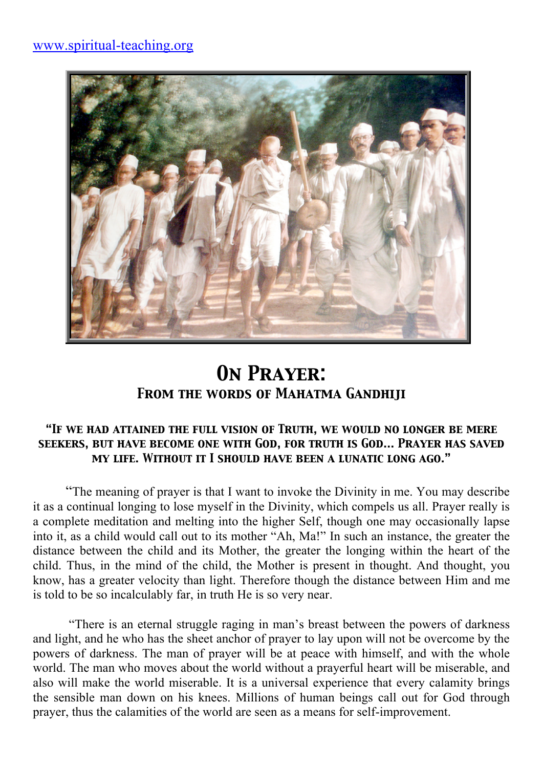

## *On Prayer: From the words of Mahatma Gandhiji*

#### *"If we had attained the full vision of Truth, we would no longer be mere seekers, but have become one with God, for truth is God… Prayer has saved my life. Without it I should have been a lunatic long ago."*

"The meaning of prayer is that I want to invoke the Divinity in me. You may describe it as a continual longing to lose myself in the Divinity, which compels us all. Prayer really is a complete meditation and melting into the higher Self, though one may occasionally lapse into it, as a child would call out to its mother "Ah, Ma!" In such an instance, the greater the distance between the child and its Mother, the greater the longing within the heart of the child. Thus, in the mind of the child, the Mother is present in thought. And thought, you know, has a greater velocity than light. Therefore though the distance between Him and me is told to be so incalculably far, in truth He is so very near.

 "There is an eternal struggle raging in man's breast between the powers of darkness and light, and he who has the sheet anchor of prayer to lay upon will not be overcome by the powers of darkness. The man of prayer will be at peace with himself, and with the whole world. The man who moves about the world without a prayerful heart will be miserable, and also will make the world miserable. It is a universal experience that every calamity brings the sensible man down on his knees. Millions of human beings call out for God through prayer, thus the calamities of the world are seen as a means for self-improvement.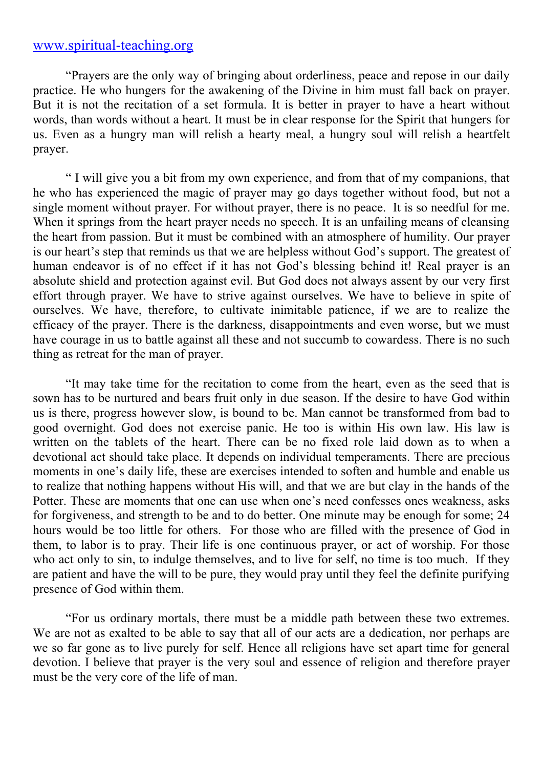### www.spiritual-teaching.org

"Prayers are the only way of bringing about orderliness, peace and repose in our daily practice. He who hungers for the awakening of the Divine in him must fall back on prayer. But it is not the recitation of a set formula. It is better in prayer to have a heart without words, than words without a heart. It must be in clear response for the Spirit that hungers for us. Even as a hungry man will relish a hearty meal, a hungry soul will relish a heartfelt prayer.

" I will give you a bit from my own experience, and from that of my companions, that he who has experienced the magic of prayer may go days together without food, but not a single moment without prayer. For without prayer, there is no peace. It is so needful for me. When it springs from the heart prayer needs no speech. It is an unfailing means of cleansing the heart from passion. But it must be combined with an atmosphere of humility. Our prayer is our heart's step that reminds us that we are helpless without God's support. The greatest of human endeavor is of no effect if it has not God's blessing behind it! Real prayer is an absolute shield and protection against evil. But God does not always assent by our very first effort through prayer. We have to strive against ourselves. We have to believe in spite of ourselves. We have, therefore, to cultivate inimitable patience, if we are to realize the efficacy of the prayer. There is the darkness, disappointments and even worse, but we must have courage in us to battle against all these and not succumb to cowardess. There is no such thing as retreat for the man of prayer.

"It may take time for the recitation to come from the heart, even as the seed that is sown has to be nurtured and bears fruit only in due season. If the desire to have God within us is there, progress however slow, is bound to be. Man cannot be transformed from bad to good overnight. God does not exercise panic. He too is within His own law. His law is written on the tablets of the heart. There can be no fixed role laid down as to when a devotional act should take place. It depends on individual temperaments. There are precious moments in one's daily life, these are exercises intended to soften and humble and enable us to realize that nothing happens without His will, and that we are but clay in the hands of the Potter. These are moments that one can use when one's need confesses ones weakness, asks for forgiveness, and strength to be and to do better. One minute may be enough for some; 24 hours would be too little for others. For those who are filled with the presence of God in them, to labor is to pray. Their life is one continuous prayer, or act of worship. For those who act only to sin, to indulge themselves, and to live for self, no time is too much. If they are patient and have the will to be pure, they would pray until they feel the definite purifying presence of God within them.

"For us ordinary mortals, there must be a middle path between these two extremes. We are not as exalted to be able to say that all of our acts are a dedication, nor perhaps are we so far gone as to live purely for self. Hence all religions have set apart time for general devotion. I believe that prayer is the very soul and essence of religion and therefore prayer must be the very core of the life of man.